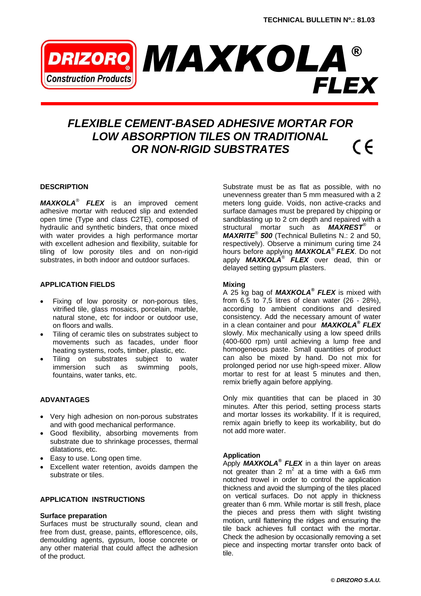

# *FLEXIBLE CEMENT-BASED ADHESIVE MORTAR FOR LOW ABSORPTION TILES ON TRADITIONAL*   $\in$   $\in$ *OR NON-RIGID SUBSTRATES*

## **DESCRIPTION**

*MAXKOLA® FLEX* is an improved cement adhesive mortar with reduced slip and extended open time (Type and class C2TE), composed of hydraulic and synthetic binders, that once mixed with water provides a high performance mortar with excellent adhesion and flexibility, suitable for tiling of low porosity tiles and on non-rigid substrates, in both indoor and outdoor surfaces.

# **APPLICATION FIELDS**

- Fixing of low porosity or non-porous tiles, vitrified tile, glass mosaics, porcelain, marble, natural stone, etc for indoor or outdoor use, on floors and walls.
- Tiling of ceramic tiles on substrates subject to movements such as facades, under floor heating systems, roofs, timber, plastic, etc.
- Tiling on substrates subject to water immersion such as swimming pools, fountains, water tanks, etc.

# **ADVANTAGES**

- Very high adhesion on non-porous substrates and with good mechanical performance.
- Good flexibility, absorbing movements from substrate due to shrinkage processes, thermal dilatations, etc.
- Easy to use. Long open time.
- Excellent water retention, avoids dampen the substrate or tiles.

# **APPLICATION INSTRUCTIONS**

#### **Surface preparation**

Surfaces must be structurally sound, clean and free from dust, grease, paints, efflorescence, oils, demoulding agents, gypsum, loose concrete or any other material that could affect the adhesion of the product.

Substrate must be as flat as possible, with no unevenness greater than 5 mm measured with a 2 meters long guide. Voids, non active-cracks and surface damages must be prepared by chipping or sandblasting up to 2 cm depth and repaired with a structural mortar such as *MAXREST®* or *MAXRITE® 500* (Technical Bulletins N.: 2 and 50, respectively). Observe a minimum curing time 24 hours before applying *MAXKOLA® FLEX*. Do not apply *MAXKOLA® FLEX* over dead, thin or delayed setting gypsum plasters.

#### **Mixing**

A 25 kg bag of *MAXKOLA® FLEX* is mixed with from  $6,5$  to  $7,5$  litres of clean water (26 - 28%), according to ambient conditions and desired consistency. Add the necessary amount of water in a clean container and pour *MAXKOLA® FLEX* slowly. Mix mechanically using a low speed drills (400-600 rpm) until achieving a lump free and homogeneous paste. Small quantities of product can also be mixed by hand. Do not mix for prolonged period nor use high-speed mixer. Allow mortar to rest for at least 5 minutes and then, remix briefly again before applying.

Only mix quantities that can be placed in 30 minutes. After this period, setting process starts and mortar losses its workability. If it is required, remix again briefly to keep its workability, but do not add more water.

#### **Application**

Apply *MAXKOLA® FLEX* in a thin layer on areas not greater than 2  $m^2$  at a time with a 6x6 mm notched trowel in order to control the application thickness and avoid the slumping of the tiles placed on vertical surfaces. Do not apply in thickness greater than 6 mm. While mortar is still fresh, place the pieces and press them with slight twisting motion, until flattening the ridges and ensuring the tile back achieves full contact with the mortar. Check the adhesion by occasionally removing a set piece and inspecting mortar transfer onto back of tile.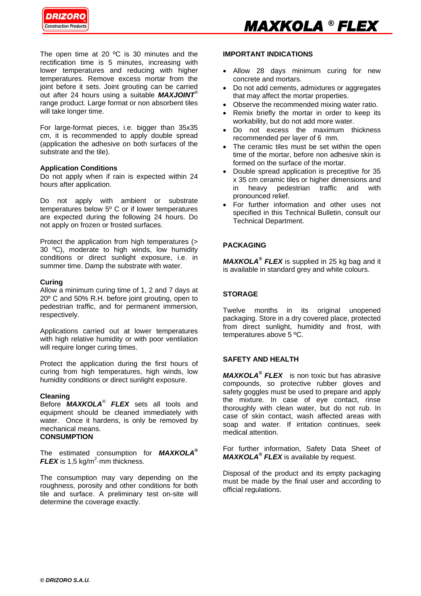

The open time at 20 °C is 30 minutes and the rectification time is 5 minutes, increasing with lower temperatures and reducing with higher temperatures. Remove excess mortar from the joint before it sets. Joint grouting can be carried out after 24 hours using a suitable *MAXJOINT®* range product. Large format or non absorbent tiles will take longer time.

For large-format pieces, i.e. bigger than 35x35 cm, it is recommended to apply double spread (application the adhesive on both surfaces of the substrate and the tile).

#### **Application Conditions**

Do not apply when if rain is expected within 24 hours after application.

Do not apply with ambient or substrate temperatures below 5º C or if lower temperatures are expected during the following 24 hours. Do not apply on frozen or frosted surfaces.

Protect the application from high temperatures (> 30 ºC), moderate to high winds, low humidity conditions or direct sunlight exposure, i.e. in summer time. Damp the substrate with water.

## **Curing**

Allow a minimum curing time of 1, 2 and 7 days at 20º C and 50% R.H. before joint grouting, open to pedestrian traffic, and for permanent immersion, respectively.

Applications carried out at lower temperatures with high relative humidity or with poor ventilation will require longer curing times.

Protect the application during the first hours of curing from high temperatures, high winds, low humidity conditions or direct sunlight exposure.

#### **Cleaning**

Before *MAXKOLA® FLEX* sets all tools and equipment should be cleaned immediately with water. Once it hardens, is only be removed by mechanical means.

# **CONSUMPTION**

The estimated consumption for *MAXKOLA®*  $FLEX$  is 1,5 kg/m<sup>2</sup> mm thickness.

The consumption may vary depending on the roughness, porosity and other conditions for both tile and surface. A preliminary test on-site will determine the coverage exactly.

#### **IMPORTANT INDICATIONS**

- Allow 28 days minimum curing for new concrete and mortars.
- Do not add cements, admixtures or aggregates that may affect the mortar properties.
- Observe the recommended mixing water ratio.
- Remix briefly the mortar in order to keep its workability, but do not add more water.
- Do not excess the maximum thickness recommended per layer of 6 mm.
- The ceramic tiles must be set within the open time of the mortar, before non adhesive skin is formed on the surface of the mortar.
- Double spread application is preceptive for 35 x 35 cm ceramic tiles or higher dimensions and in heavy pedestrian traffic and with pronounced relief.
- For further information and other uses not specified in this Technical Bulletin, consult our Technical Department.

# **PACKAGING**

*MAXKOLA® FLEX* is supplied in 25 kg bag and it is available in standard grey and white colours.

# **STORAGE**

Twelve months in its original unopened packaging. Store in a dry covered place, protected from direct sunlight, humidity and frost, with temperatures above 5 ºC.

# **SAFETY AND HEALTH**

*MAXKOLA® FLEX* is non toxic but has abrasive compounds, so protective rubber gloves and safety goggles must be used to prepare and apply the mixture. In case of eye contact, rinse thoroughly with clean water, but do not rub. In case of skin contact, wash affected areas with soap and water. If irritation continues, seek medical attention.

For further information, Safety Data Sheet of *MAXKOLA® FLEX* is available by request.

Disposal of the product and its empty packaging must be made by the final user and according to official regulations.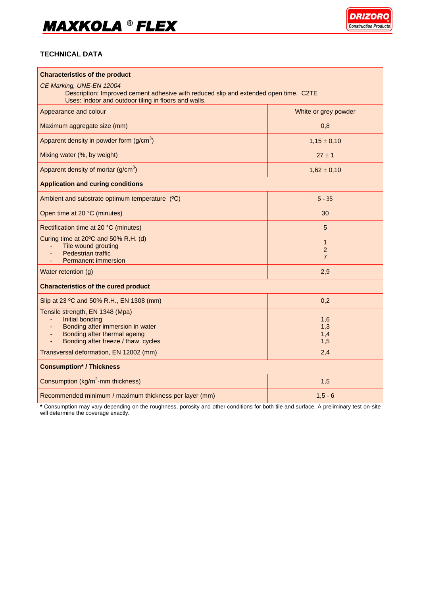# *MAXKOLA*  ® *FLEX*



# **TECHNICAL DATA**

| <b>Characteristics of the product</b><br>CE Marking, UNE-EN 12004<br>Description: Improved cement adhesive with reduced slip and extended open time. C2TE<br>Uses: Indoor and outdoor tiling in floors and walls. |                                                  |
|-------------------------------------------------------------------------------------------------------------------------------------------------------------------------------------------------------------------|--------------------------------------------------|
|                                                                                                                                                                                                                   |                                                  |
| Maximum aggregate size (mm)                                                                                                                                                                                       | 0,8                                              |
| Apparent density in powder form $(g/cm3)$                                                                                                                                                                         | $1,15 \pm 0,10$                                  |
| Mixing water (%, by weight)                                                                                                                                                                                       | $27 \pm 1$                                       |
| Apparent density of mortar $(g/cm3)$                                                                                                                                                                              | $1,62 \pm 0,10$                                  |
| <b>Application and curing conditions</b>                                                                                                                                                                          |                                                  |
| Ambient and substrate optimum temperature (°C)                                                                                                                                                                    | $5 - 35$                                         |
| Open time at 20 °C (minutes)                                                                                                                                                                                      | 30                                               |
| Rectification time at 20 °C (minutes)                                                                                                                                                                             | 5                                                |
| Curing time at 20°C and 50% R.H. (d)<br>Tile wound grouting<br>Pedestrian traffic<br><b>Permanent immersion</b>                                                                                                   | $\mathbf{1}$<br>$\overline{2}$<br>$\overline{7}$ |
| Water retention (g)                                                                                                                                                                                               | 2,9                                              |
| <b>Characteristics of the cured product</b>                                                                                                                                                                       |                                                  |
| Slip at 23 °C and 50% R.H., EN 1308 (mm)                                                                                                                                                                          | 0,2                                              |
| Tensile strength, EN 1348 (Mpa)<br>Initial bonding<br>Bonding after immersion in water<br>Bonding after thermal ageing<br>Bonding after freeze / thaw cycles                                                      | 1,6<br>1,3<br>1,4<br>1,5                         |
| Transversal deformation, EN 12002 (mm)                                                                                                                                                                            | 2,4                                              |
| <b>Consumption* / Thickness</b>                                                                                                                                                                                   |                                                  |
| Consumption (kg/m <sup>2</sup> ·mm thickness)                                                                                                                                                                     | 1,5                                              |
| Recommended minimum / maximum thickness per layer (mm)                                                                                                                                                            | $1,5 - 6$                                        |

**\*** Consumption may vary depending on the roughness, porosity and other conditions for both tile and surface. A preliminary test on-site will determine the coverage exactly.